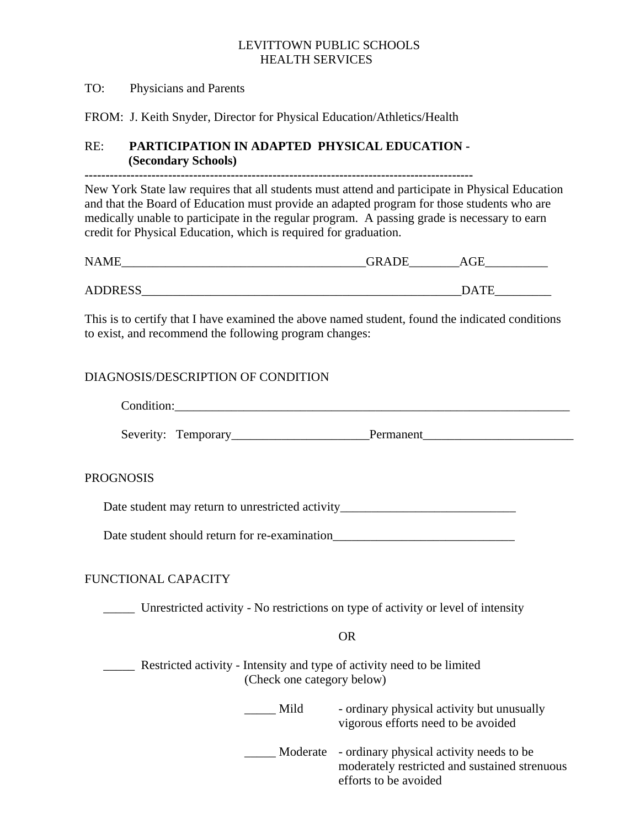#### LEVITTOWN PUBLIC SCHOOLS HEALTH SERVICES

#### TO: Physicians and Parents

FROM: J. Keith Snyder, Director for Physical Education/Athletics/Health

# RE: **PARTICIPATION IN ADAPTED PHYSICAL EDUCATION - (Secondary Schools)**

**---------------------------------------------------------------------------------------------** 

New York State law requires that all students must attend and participate in Physical Education and that the Board of Education must provide an adapted program for those students who are medically unable to participate in the regular program. A passing grade is necessary to earn credit for Physical Education, which is required for graduation.

| <b>NAME</b>    | GRADE | $\sim$ $\sim$<br>тН          |  |
|----------------|-------|------------------------------|--|
|                |       |                              |  |
| <b>ADDRESS</b> |       | mr<br>$\bigcap$ $\Lambda'$ . |  |

This is to certify that I have examined the above named student, found the indicated conditions to exist, and recommend the following program changes:

# DIAGNOSIS/DESCRIPTION OF CONDITION

| Condition:                                        |           |
|---------------------------------------------------|-----------|
|                                                   | Permanent |
| <b>PROGNOSIS</b>                                  |           |
| Date student may return to unrestricted activity_ |           |

Date student should return for re-examination

# FUNCTIONAL CAPACITY

\_\_\_\_\_ Unrestricted activity - No restrictions on type of activity or level of intensity

## OR

 \_\_\_\_\_ Restricted activity - Intensity and type of activity need to be limited (Check one category below)

> Mild - ordinary physical activity but unusually vigorous efforts need to be avoided

 \_\_\_\_\_ Moderate - ordinary physical activity needs to be moderately restricted and sustained strenuous efforts to be avoided